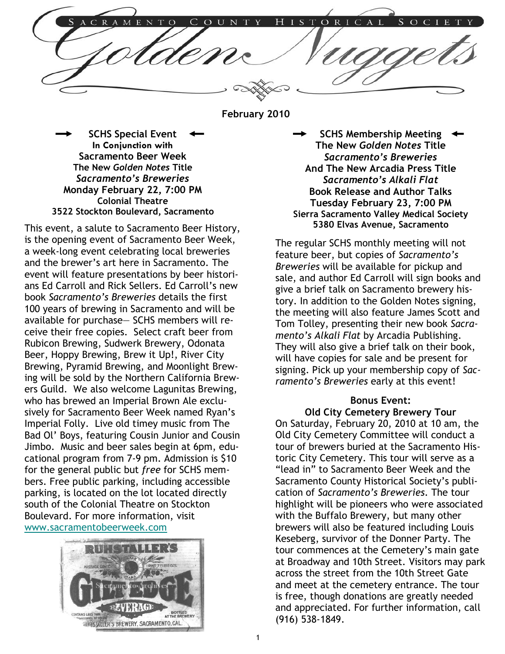C A 1 C R  $\overline{N}$ N  $H$  $\mathbf R$ E

February 2010

SCHS Special Event In Conjunction with Sacramento Beer Week The New Golden Notes Title Sacramento's Breweries Monday February 22, 7:00 PM Colonial Theatre 3522 Stockton Boulevard, Sacramento

This event, a salute to Sacramento Beer History, is the opening event of Sacramento Beer Week, a week-long event celebrating local breweries and the brewer's art here in Sacramento. The event will feature presentations by beer historians Ed Carroll and Rick Sellers. Ed Carroll's new book Sacramento's Breweries details the first 100 years of brewing in Sacramento and will be available for purchase— SCHS members will receive their free copies. Select craft beer from Rubicon Brewing, Sudwerk Brewery, Odonata Beer, Hoppy Brewing, Brew it Up!, River City Brewing, Pyramid Brewing, and Moonlight Brewing will be sold by the Northern California Brewers Guild. We also welcome Lagunitas Brewing, who has brewed an Imperial Brown Ale exclusively for Sacramento Beer Week named Ryan's Imperial Folly. Live old timey music from The Bad Ol' Boys, featuring Cousin Junior and Cousin Jimbo. Music and beer sales begin at 6pm, educational program from 7-9 pm. Admission is \$10 for the general public but free for SCHS members. Free public parking, including accessible parking, is located on the lot located directly south of the Colonial Theatre on Stockton Boulevard. For more information, visit www.sacramentobeerweek.com



SCHS Membership Meeting The New Golden Notes Title Sacramento's Breweries And The New Arcadia Press Title Sacramento's Alkali Flat Book Release and Author Talks Tuesday February 23, 7:00 PM Sierra Sacramento Valley Medical Society 5380 Elvas Avenue, Sacramento

The regular SCHS monthly meeting will not feature beer, but copies of Sacramento's Breweries will be available for pickup and sale, and author Ed Carroll will sign books and give a brief talk on Sacramento brewery history. In addition to the Golden Notes signing, the meeting will also feature James Scott and Tom Tolley, presenting their new book Sacramento's Alkali Flat by Arcadia Publishing. They will also give a brief talk on their book, will have copies for sale and be present for signing. Pick up your membership copy of Sacramento's Breweries early at this event!

#### Bonus Event:

Old City Cemetery Brewery Tour

On Saturday, February 20, 2010 at 10 am, the Old City Cemetery Committee will conduct a tour of brewers buried at the Sacramento Historic City Cemetery. This tour will serve as a "lead in" to Sacramento Beer Week and the Sacramento County Historical Society's publication of Sacramento's Breweries. The tour highlight will be pioneers who were associated with the Buffalo Brewery, but many other brewers will also be featured including Louis Keseberg, survivor of the Donner Party. The tour commences at the Cemetery's main gate at Broadway and 10th Street. Visitors may park across the street from the 10th Street Gate and meet at the cemetery entrance. The tour is free, though donations are greatly needed and appreciated. For further information, call (916) 538-1849.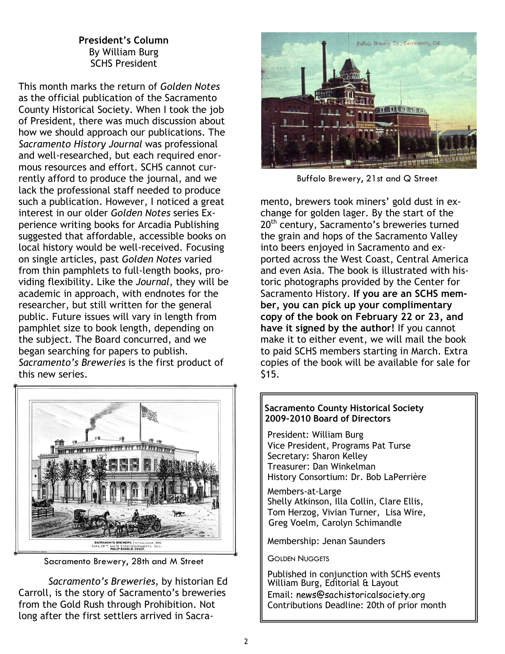## President's Column By William Burg SCHS President

This month marks the return of Golden Notes as the official publication of the Sacramento County Historical Society. When I took the job of President, there was much discussion about how we should approach our publications. The Sacramento History Journal was professional and well-researched, but each required enormous resources and effort. SCHS cannot currently afford to produce the journal, and we lack the professional staff needed to produce such a publication. However, I noticed a great interest in our older Golden Notes series Experience writing books for Arcadia Publishing suggested that affordable, accessible books on local history would be well-received. Focusing on single articles, past Golden Notes varied from thin pamphlets to full-length books, providing flexibility. Like the Journal, they will be academic in approach, with endnotes for the researcher, but still written for the general public. Future issues will vary in length from pamphlet size to book length, depending on the subject. The Board concurred, and we began searching for papers to publish. Sacramento's Breweries is the first product of this new series.



Sacramento Brewery, 28th and M Street

Sacramento's Breweries, by historian Ed Carroll, is the story of Sacramento's breweries from the Gold Rush through Prohibition. Not long after the first settlers arrived in Sacra-



Buffalo Brewery, 21st and Q Street

mento, brewers took miners' gold dust in exchange for golden lager. By the start of the 20<sup>th</sup> century, Sacramento's breweries turned the grain and hops of the Sacramento Valley into beers enjoyed in Sacramento and exported across the West Coast, Central America and even Asia. The book is illustrated with historic photographs provided by the Center for Sacramento History. If you are an SCHS member, you can pick up your complimentary copy of the book on February 22 or 23, and have it signed by the author! If you cannot make it to either event, we will mail the book to paid SCHS members starting in March. Extra copies of the book will be available for sale for \$15.

#### Sacramento County Historical Society 2009-2010 Board of Directors

 President: William Burg Vice President, Programs Pat Turse Secretary: Sharon Kelley Treasurer: Dan Winkelman History Consortium: Dr. Bob LaPerrière

Members-at-Large Shelly Atkinson, Illa Collin, Clare Ellis, Tom Herzog, Vivian Turner, Lisa Wire, Greg Voelm, Carolyn Schimandle

Membership: Jenan Saunders

GOLDEN NUGGETS

 Published in conjunction with SCHS events William Burg, Editorial & Layout Email: news@sachistoricalsociety.org Contributions Deadline: 20th of prior month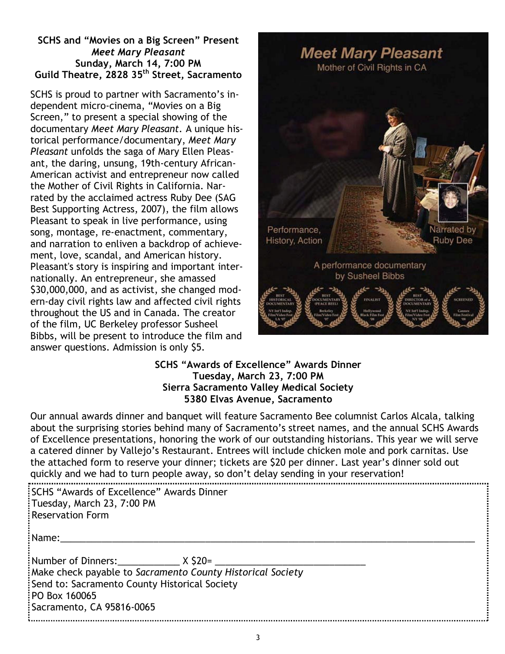## SCHS and "Movies on a Big Screen" Present Meet Mary Pleasant Sunday, March 14, 7:00 PM Guild Theatre, 2828 35<sup>th</sup> Street, Sacramento

SCHS is proud to partner with Sacramento's independent micro-cinema, "Movies on a Big Screen," to present a special showing of the documentary Meet Mary Pleasant. A unique historical performance/documentary, Meet Mary Pleasant unfolds the saga of Mary Ellen Pleasant, the daring, unsung, 19th-century African-American activist and entrepreneur now called the Mother of Civil Rights in California. Narrated by the acclaimed actress Ruby Dee (SAG Best Supporting Actress, 2007), the film allows Pleasant to speak in live performance, using song, montage, re-enactment, commentary, and narration to enliven a backdrop of achievement, love, scandal, and American history. Pleasant's story is inspiring and important internationally. An entrepreneur, she amassed \$30,000,000, and as activist, she changed modern-day civil rights law and affected civil rights throughout the US and in Canada. The creator of the film, UC Berkeley professor Susheel Bibbs, will be present to introduce the film and answer questions. Admission is only \$5.



## SCHS "Awards of Excellence" Awards Dinner Tuesday, March 23, 7:00 PM Sierra Sacramento Valley Medical Society 5380 Elvas Avenue, Sacramento

Our annual awards dinner and banquet will feature Sacramento Bee columnist Carlos Alcala, talking about the surprising stories behind many of Sacramento's street names, and the annual SCHS Awards of Excellence presentations, honoring the work of our outstanding historians. This year we will serve a catered dinner by Vallejo's Restaurant. Entrees will include chicken mole and pork carnitas. Use the attached form to reserve your dinner; tickets are \$20 per dinner. Last year's dinner sold out quickly and we had to turn people away, so don't delay sending in your reservation!

| SCHS "Awards of Excellence" Awards Dinner<br>Tuesday, March 23, 7:00 PM<br>Reservation Form                                                                                                                            |  |  |  |
|------------------------------------------------------------------------------------------------------------------------------------------------------------------------------------------------------------------------|--|--|--|
| $:$ Name:                                                                                                                                                                                                              |  |  |  |
| $\frac{1}{2}$ Number of Dinners: $X \text{ } $20=$<br>Make check payable to Sacramento County Historical Society<br>Send to: Sacramento County Historical Society<br>PO Box 160065<br><b>Sacramento, CA 95816-0065</b> |  |  |  |